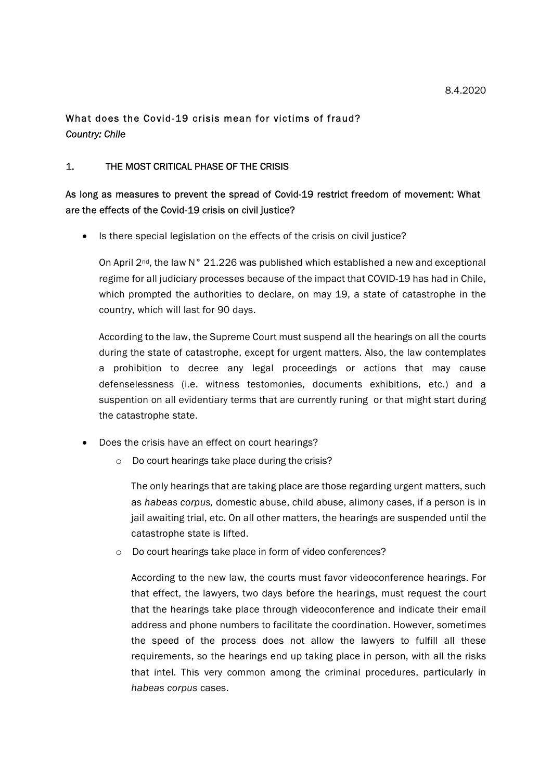# What does the Covid-19 crisis mean for victims of fraud? Country: Chile

### 1. THE MOST CRITICAL PHASE OF THE CRISIS

# As long as measures to prevent the spread of Covid-19 restrict freedom of movement: What are the effects of the Covid-19 crisis on civil justice?

• Is there special legislation on the effects of the crisis on civil justice?

On April  $2^{nd}$ , the law N° 21.226 was published which established a new and exceptional regime for all judiciary processes because of the impact that COVID-19 has had in Chile, which prompted the authorities to declare, on may 19, a state of catastrophe in the country, which will last for 90 days.

According to the law, the Supreme Court must suspend all the hearings on all the courts during the state of catastrophe, except for urgent matters. Also, the law contemplates a prohibition to decree any legal proceedings or actions that may cause defenselessness (i.e. witness testomonies, documents exhibitions, etc.) and a suspention on all evidentiary terms that are currently runing or that might start during the catastrophe state.

- Does the crisis have an effect on court hearings?
	- o Do court hearings take place during the crisis?

The only hearings that are taking place are those regarding urgent matters, such as habeas corpus, domestic abuse, child abuse, alimony cases, if a person is in jail awaiting trial, etc. On all other matters, the hearings are suspended until the catastrophe state is lifted.

o Do court hearings take place in form of video conferences?

According to the new law, the courts must favor videoconference hearings. For that effect, the lawyers, two days before the hearings, must request the court that the hearings take place through videoconference and indicate their email address and phone numbers to facilitate the coordination. However, sometimes the speed of the process does not allow the lawyers to fulfill all these requirements, so the hearings end up taking place in person, with all the risks that intel. This very common among the criminal procedures, particularly in habeas corpus cases.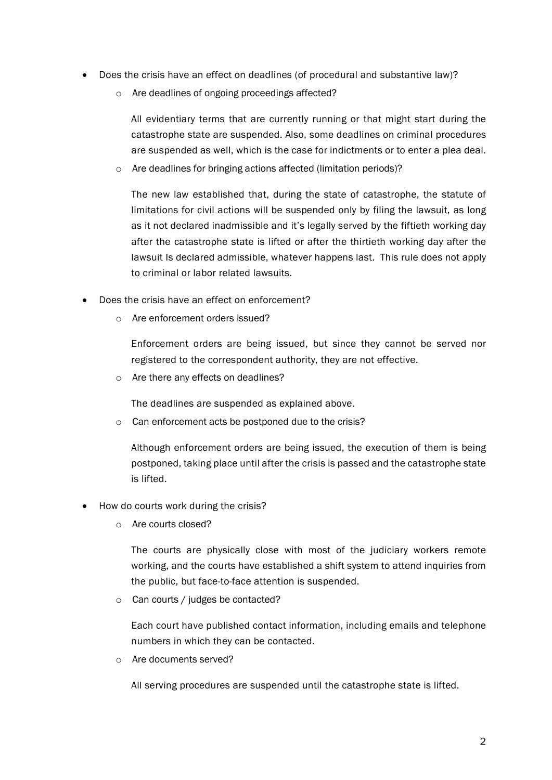- Does the crisis have an effect on deadlines (of procedural and substantive law)?
	- o Are deadlines of ongoing proceedings affected?

All evidentiary terms that are currently running or that might start during the catastrophe state are suspended. Also, some deadlines on criminal procedures are suspended as well, which is the case for indictments or to enter a plea deal.

o Are deadlines for bringing actions affected (limitation periods)?

The new law established that, during the state of catastrophe, the statute of limitations for civil actions will be suspended only by filing the lawsuit, as long as it not declared inadmissible and it's legally served by the fiftieth working day after the catastrophe state is lifted or after the thirtieth working day after the lawsuit Is declared admissible, whatever happens last. This rule does not apply to criminal or labor related lawsuits.

- Does the crisis have an effect on enforcement?
	- o Are enforcement orders issued?

Enforcement orders are being issued, but since they cannot be served nor registered to the correspondent authority, they are not effective.

o Are there any effects on deadlines?

The deadlines are suspended as explained above.

o Can enforcement acts be postponed due to the crisis?

Although enforcement orders are being issued, the execution of them is being postponed, taking place until after the crisis is passed and the catastrophe state is lifted.

- How do courts work during the crisis?
	- o Are courts closed?

The courts are physically close with most of the judiciary workers remote working, and the courts have established a shift system to attend inquiries from the public, but face-to-face attention is suspended.

o Can courts / judges be contacted?

Each court have published contact information, including emails and telephone numbers in which they can be contacted.

o Are documents served?

All serving procedures are suspended until the catastrophe state is lifted.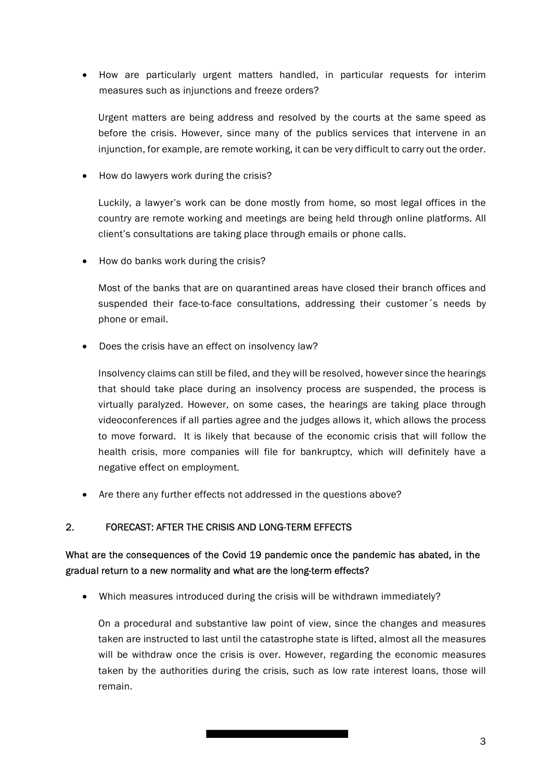How are particularly urgent matters handled, in particular requests for interim measures such as injunctions and freeze orders?

Urgent matters are being address and resolved by the courts at the same speed as before the crisis. However, since many of the publics services that intervene in an injunction, for example, are remote working, it can be very difficult to carry out the order.

• How do lawyers work during the crisis?

Luckily, a lawyer's work can be done mostly from home, so most legal offices in the country are remote working and meetings are being held through online platforms. All client's consultations are taking place through emails or phone calls.

• How do banks work during the crisis?

Most of the banks that are on quarantined areas have closed their branch offices and suspended their face-to-face consultations, addressing their customer´s needs by phone or email.

Does the crisis have an effect on insolvency law?

Insolvency claims can still be filed, and they will be resolved, however since the hearings that should take place during an insolvency process are suspended, the process is virtually paralyzed. However, on some cases, the hearings are taking place through videoconferences if all parties agree and the judges allows it, which allows the process to move forward. It is likely that because of the economic crisis that will follow the health crisis, more companies will file for bankruptcy, which will definitely have a negative effect on employment.

Are there any further effects not addressed in the questions above?

### 2. FORECAST: AFTER THE CRISIS AND LONG-TERM EFFECTS

# What are the consequences of the Covid 19 pandemic once the pandemic has abated, in the gradual return to a new normality and what are the long-term effects?

Which measures introduced during the crisis will be withdrawn immediately?

On a procedural and substantive law point of view, since the changes and measures taken are instructed to last until the catastrophe state is lifted, almost all the measures will be withdraw once the crisis is over. However, regarding the economic measures taken by the authorities during the crisis, such as low rate interest loans, those will remain.